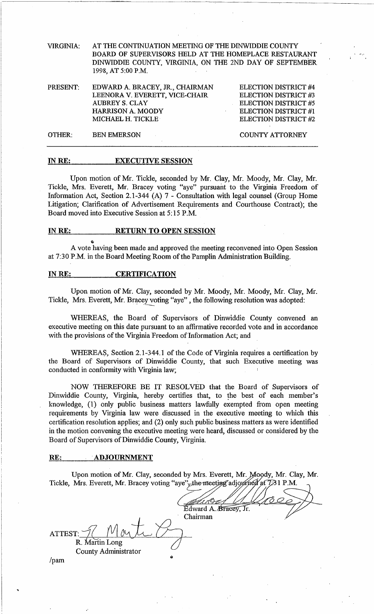VIRGINIA: AT THE CONTINUATION MEETING OF THE DINWIDDIE COUNTY BOARD OF SUPERVISORS HELD AT THE HOMEPLACE RESTAURANT DINWIDDIE COUNTY, VIRGINIA, ON THE 2ND DAY OF SEPTEMBER 1998, AT 5:00 P.M.

PRESENT: EDWARD A. BRACEY, JR., CHAIRMAN LEENORA V. EVERETT, VICE-CHAIR AUBREY S. CLAY HARRISON A. MOODY MICHAEL H. TICKLE ELECTION DISTRICT #4 ELECTION DISTRICT #3 ELECTION DISTRICT #5 ELECTION DISTRICT #1 ELECTION DISTRICT #2

OTHER: BEN EMERSON COUNTY ATTORNEY

#### IN RE: EXECUTIVE SESSION

Upon motion of Mr. Tickle, seconded by Mr. Clay, Mr. Moody, Mr. Clay, Mr. Tickle, Mrs. Everett, Mr. Bracey voting "aye" pursuant to the Virginia Freedom of Information Act, Section 2.1-344 (A) 7 - Consultation with legal counsel (Group Home Litigation; Clarification of Advertisement Requirements and Courthouse Contract); the Board moved into Executive Session at 5:15 P.M. .

#### INRE: RETURN TO OPEN SESSION

A vote having been made and approved the meeting reconvened into Open Session at 7:30 P.M. in the Board Meeting Room of the Pamplin Administration Building.

# IN RE: CERTIFICATION

Upon motion of Mr. Clay, seconded by Mr. Moody, Mr. Moody, Mr. Clay, Mr. Tickle, Mrs. Everett, Mr. Bracey voting "aye", the following resolution was adopted:

WHEREAS, the Board of Supervisors of Dinwiddie County convened an executive meeting on this date pursuant to an affirmative recorded vote and in accordance with the provisions of the Virginia Freedom of Information Act; and

WHEREAS, Section 2.1-344.1 of the Code of Virginia requires a certification by the Board of Supervisors of Dinwiddie County, that such Executive meeting was conducted in conformity with Virginia law;

NOW THEREFORE BE IT RESOLVED that the Board of Supervisors of Dinwiddie County, Virginia, hereby certifies that, to the best of each member's knowledge, (1) only public business matters lawfully exempted from open meeting requirements by Virginia law were discussed in the executive meeting to which this certification resolution applies; and (2) only such public business matters as were identified in the motion convening the executive meeting were heard, discussed or considered by the Board of Supervisors of Dinwiddie County, Virginia.

# RE: **ADJOURNMENT**

Upon motion of Mr. Clay, seconded by Mrs. Everett, Mr. Moody, Mr. Clay, Mr. Tickle, Mrs. Everett, Mr. Bracey voting "aye", the meeting adjourned at 7.31 P.M.

|                      | Edward A. Bracey, Jr. |
|----------------------|-----------------------|
|                      | Chairman              |
|                      |                       |
| ATTEST:              |                       |
| R. Martin Long       |                       |
| County Administrator |                       |
|                      | ŵ                     |

/pam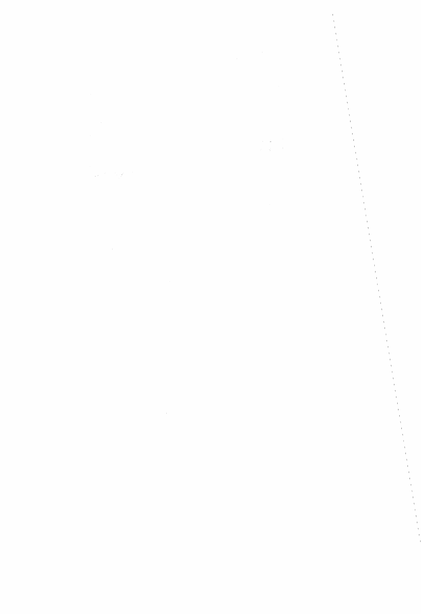$\label{eq:2.1} \frac{1}{\sqrt{2}}\int_{\mathbb{R}^3}\frac{1}{\sqrt{2}}\left(\frac{1}{\sqrt{2}}\right)^2\frac{1}{\sqrt{2}}\left(\frac{1}{\sqrt{2}}\right)^2\frac{1}{\sqrt{2}}\left(\frac{1}{\sqrt{2}}\right)^2\frac{1}{\sqrt{2}}\left(\frac{1}{\sqrt{2}}\right)^2.$ 

 $\label{eq:2.1} \frac{1}{\sqrt{2}}\int_{\mathbb{R}^3}\frac{1}{\sqrt{2}}\left(\frac{1}{\sqrt{2}}\right)^2\frac{1}{\sqrt{2}}\left(\frac{1}{\sqrt{2}}\right)^2\frac{1}{\sqrt{2}}\left(\frac{1}{\sqrt{2}}\right)^2\frac{1}{\sqrt{2}}\left(\frac{1}{\sqrt{2}}\right)^2.$ 

 $\label{eq:2.1} \begin{split} \mathcal{L}_{\text{max}}(\mathbf{y}) &= \mathcal{L}_{\text{max}}(\mathbf{y}) \mathcal{L}_{\text{max}}(\mathbf{y}) \mathcal{L}_{\text{max}}(\mathbf{y}) \mathcal{L}_{\text{max}}(\mathbf{y}) \mathcal{L}_{\text{max}}(\mathbf{y}) \mathcal{L}_{\text{max}}(\mathbf{y}) \mathcal{L}_{\text{max}}(\mathbf{y}) \mathcal{L}_{\text{max}}(\mathbf{y}) \mathcal{L}_{\text{max}}(\mathbf{y}) \mathcal{L}_{\text{max}}(\mathbf{y}) \mathcal{L}_{\text{max}}(\mathbf{y}) \$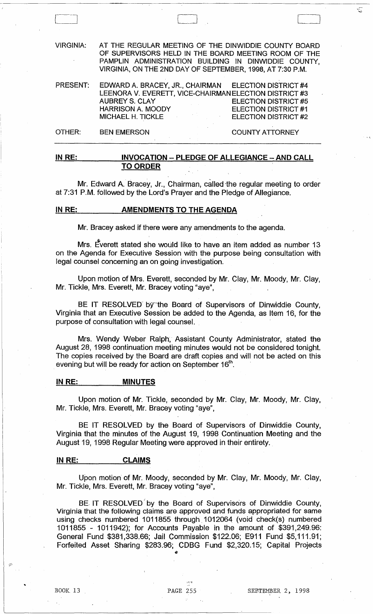VIRGINIA: AT THE REGULAR MEETING OF THE DINWIDDIE COUNTY BOARD OF SUPERVISORS HELD IN THE BOARD MEETING ROOM OF THE PAMPLIN ADMINISTRATION BUILDING IN DINWIDDIE COUNTY, VIRGINIA, ON THE 2ND DAY OF SEPTEMBER, 1998, AT 7:30 P.M.

| PRESENT: | EDWARD A. BRACEY, JR., CHAIRMAN ELECTION DISTRICT #4        |                      |
|----------|-------------------------------------------------------------|----------------------|
|          | LEENORA V. EVERETT, VICE-CHAIRMAN ELECTION DISTRICT #3      |                      |
|          | AUBREY S. CLAY                                              | ELECTION DISTRICT #5 |
|          | <b>HARRISON A. MOODY</b>                                    | ELECTION DISTRICT #1 |
|          | MICHAEL H. TICKLE<br>the control of the control of the con- | ELECTION DISTRICT #2 |
|          |                                                             |                      |

OTHER: BEN EMERSON COUNTY ATTORNEY

 $\Box$ 

# IN RE: INVOCATION - PLEDGE OF ALLEGIANCE - AND CALL TO ORDER

Mr. Edward A. Bracey, Jr., Chairman, called the regular meeting to order at 7:31 P.M. followed by the Lord's Prayer and the Pledge of Allegiance.

# IN RE: AMENDMENTS TO THE AGENDA

Mr. Bracey asked if there were any amendments to the agenda.

Mrs. E'verett stated she would like to have an item added as number 13 on the Agenda for Executive Session with the purpose being consultation with legal counsel concerning an on going investigation.

Upon motion of Mrs. Everett, seconded by Mr. Clay, Mr. Moody, Mr. Clay, Mr. Tickle, Mrs. Everett, Mr. Bracey voting "aye",

BE IT RESOLVED by the Board of Supervisors of Dinwiddie County, Virginia that an Executive Session be added to the Agenda, as Item 16, for the purpose of consultation with legal counsel.

Mrs. Wendy Weber Ralph; Assistant County Administrator, stated the August 28, 1998 continuation meeting minutes would not be considered tonight. The copies received by the Board are draft copies and will not be acted on this evening but will be ready for action on September 16<sup>th</sup>.

# IN RE: MINUTES

Upon motion of Mr. Tickle, seconded by Mr. Clay, Mr. Moody, Mr. Clay, Mr. Tickle, Mrs. Everett, Mr. Bracey voting "aye",

BE IT RESOLVED by the Board of Supervisors of Dinwiddie County, Virginia that the minutes of the August 19, 1998 Continuation Meeting and the August 19, 1998 Regular Meeting were approved in their entirety.

# IN RE: CLAIMS

Upon motion of Mr. Moody, seconded by Mr. Clay, Mr. Moody, Mr. Clay, Mr. Tickle, Mrs. Everett, Mr. Bracey voting "aye",

BE IT RESOLVED by the Board of Supervisors of Dinwiddie County, Virginia that the following claims are approved and funds appropriated for same using checks numbered 1011855 through 1012064 (void check(s) numbered 1011855 - 1011942); for Accounts Payable in the amount of \$391,249.96: General Fund \$381,338.66; Jail Commission \$122.06; E911 Fund \$5,111.91; Forfeited Asset Sharing \$283.96; CDBG Fund \$2,320.15; Capital Projects

..

t'I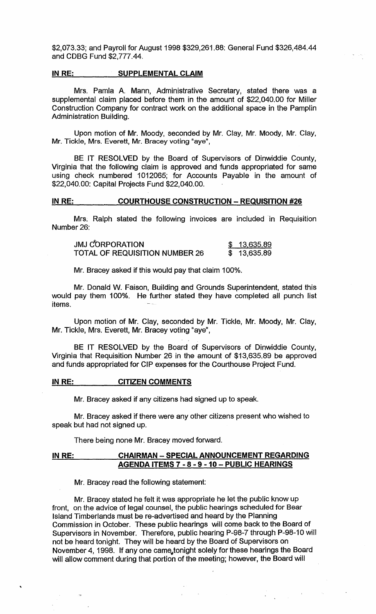\$2,073.33; and Payroll for August 1998 \$329,261.88: General Fund \$326,484.44 and CDBG Fund \$2,777.44.

# IN RE: SUPPLEMENTAL CLAIM

Mrs. Pamla A. Mann, Administrative Secretary, stated there was a supplemental claim placed before them in the amount of \$22,040.00 for Miller Construction Company for contract work on the additional space in the Pamplin Administration Building.

Upon motion of Mr. Moody, seconded by Mr. Clay, Mr. Moody, Mr. Clay, Mr. Tickle, Mrs. Everett, Mr. Bracey voting "aye",

BE IT RESOLVED by the Board of Supervisors of Dinwiddie County, Virginia that the following claim is approved and funds appropriated for same using check numbered 1012065; for Accounts Payable in the amount of \$22,040.00: Capital Projects Fund \$22,040.00.

#### IN RE: COURTHOUSE CONSTRUCTION - REQUISITION #26

Mrs. Ralph stated the following invoices are included in Requisition Number 26:

| <b>JMJ CORPORATION</b>         | \$13,635.89 |
|--------------------------------|-------------|
| TOTAL OF REQUISITION NUMBER 26 | \$13,635.89 |

Mr. Bracey asked if this would pay that claim 100%.

Mr. Donald W. Faison, Building and Grounds Superintendent, stated this would pay them 100%. He further stated they have completed all punch list items.

Upon motion of Mr. Clay, seconded by Mr. Tickle, Mr. Moody, Mr. Clay, Mr. Tickle, Mrs. Everett, Mr. Bracey voting "aye",

BE IT RESOLVED by the Board of Supervisors of Dinwiddie County, Virginia that Requisition Number 26 in the amount of \$13,635.89 be approved and funds appropriated for CIP expenses for the Courthouse Project Fund.

#### IN RE: CITIZEN COMMENTS

Mr. Bracey asked if any citizens had signed up to speak.

Mr. Bracey asked if there were any other citizens present who wished to speak but had not signed up.

There being none Mr. Bracey moved forward.

# IN RE: CHAIRMAN - SPECIAL ANNOUNCEMENT REGARDING AGENDA ITEMS 7 - 8 - 9 - 10 - PUBLIC HEARINGS

Mr. Bracey read the following statement:

,

Mr. Bracey stated he felt it was appropriate he let the public know up front, on the advice of legal counsel, the public hearings scheduled for Bear Island Timberlands must be re-advertised and heard by the Planning Commission in October. These public hearings will come back to the Board of Supervisors in November. Therefore, public hearing P-98-7 through P-98-10 will not be heard tonight. They will be heard by the Board of Supervisors on November 4, 1998. If any one came tonight solely for these hearings the Board will allow comment during that portion of the meeting; however, the Board will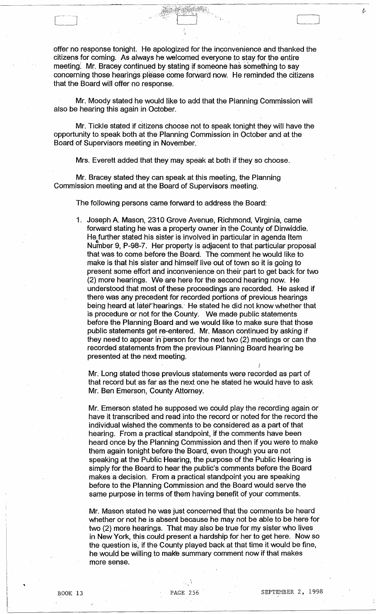offer no response tonight. He apologized for the inconvenience and thanked the citizens for coming. As always he welcomed everyone to stay for the entire meeting. Mr. Bracey continued by stating if someone has something to say concerning those hearings please come forward now. He reminded the citizens that the Board will offer no response.

eka

Mr. Moody stated he would like to add that the Planning Commission will also be hearing this again in October.

Mr. Tickle stated if citizens choose not to speak tonight they will have the opportunity to speak both at the Planning Commission in October and at the Board of Supervisors meeting in November.

Mrs. Everett added that they may speak at both if they so choose.

Mr. Bracey stated they can speak at this meeting, the Planning Commission meeting and at the Board of Supervisors meeting.

The following persons came forward to address the Board:

1. Joseph A. Mason, 2310 Grove Avenue, Richmond, Virginia, came forward stating he was a property owner in the County of Dinwiddie. He further stated his sister is involved in particular in agenda Item Number 9, P-98-7. Her property is adjacent to that particular proposal that was to come before the Board. The comment he would like to make is that his sister and himself live out of town so it is going to present some effort and inconvenience on their part to get back for two (2) more hearings. We are here for the second hearing now. He understood that most of these proceedings are recorded. He asked if there was any precedent for recorded portions of previous hearings being heard at later hearings. He stated he did not know whether that is procedure or not for the County. We made public statements before the Planning Board and we would like to make sure that those public statements get re-entered. Mr. Mason continued by asking if they need to appear in'person for the next two (2) meetings or can the recorded statements from the previous Planning Board hearing be presented at the next meeting.

Mr. Long stated those previous statements were recorded as part of that record but as far as the next one he stated he would have to ask Mr. Ben Emerson, County Attorney.

Mr. Emerson stated he supposed we could play the recording again or have it transcribed and read into the record or noted for the record the individual wished the comments to be considered as a part of that hearing. From a practical standpoint, if the comments have been heard once by the Planning Commission and then if you were to make them again tonight before the Board, even though you are not speaking at the Public Hearing, the purpose of the Public Hearing is simply for the Board to hear the public's comments before the Board makes a decision. From a practical standpoint you are speaking before to the Planning Commission and the Board would serve the same purpose in terms of them having benefit of your comments.

Mr. Mason stated he was just concerned that the comments be heard whether or not he is absent because he may not be able to be here for two (2) more hearings. That may also be true for my sister who lives in New York, this could present a hardship for her to get here. Now so the question is, if the County played back at that time it would be fine, he would be willing to make summary comment now if that makes more sense.

,

 $\Box$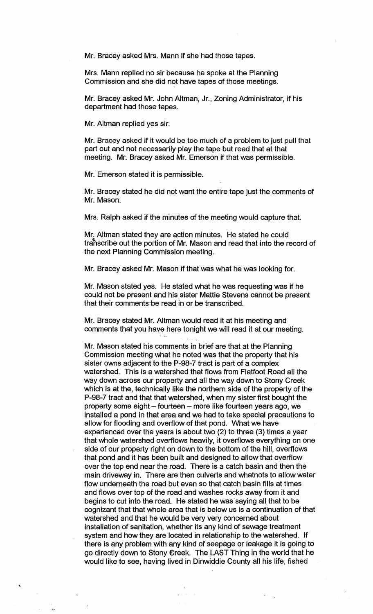Mr. Bracey asked Mrs. Mann if she had those tapes.

Mrs. Mann replied no sir because he spoke at the Planning Commission and she did not have tapes of those meetings.

Mr. Bracey asked Mr. John Altman, Jr., Zoning Administrator, if his department had those tapes.

Mr. Altman replied yes sir.

..

Mr. Bracey asked if it would be too much of a problem to just pull that part out and not necessarily play the tape but read that at that meeting. Mr. Bracey asked Mr. Emerson if that was permissible.

Mr. Emerson stated it is permissible.

Mr. Bracey stated he did not want the entire tape just the comments of Mr. Mason.

Mrs. Ralph asked if the minutes of the meeting would capture that.

Mr. Altman stated they are action minutes. He stated he could transcribe out the portion of Mr. Mason and read that into the record of the next Planning Commission meeting.

Mr. Bracey asked Mr. Mason if that was what he was looking for.

Mr. Mason stated yes. He stated what he was requesting was if he could not be present and his sister Mattie Stevens cannot be present that their comments be read in or be transcribed.

Mr. Bracey stated Mr. Altman would read it at his meeting and comments that you have here tonight we will read it at our meeting.

Mr. Mason stated his comments in brief are that at the Planning Commission meeting what he noted was that the property that his sister owns adjacent to the P-98-7 tract is part of a complex watershed. This is a watershed that flows from Flatfoot Road all the way down across our property and all the way down to Stony Creek which is at the, technically like the northern side of the property of the P-98-7 tract and that that watershed, when my sister first bought the property some eight - fourteen - more like fourteen years ago, we installed a pond in that area and we had to take special precautions to allow for flooding and overflow of that pond. What we have experienced over the years is about two (2) to three (3) times a year that whole watershed overflows heavily, it overflows everything on one side of our property right on down to the bottom of the hill, overflows that pond and it has been built and designed to allow that overflow over the top end near the road. There is a catch basin and then the main driveway in. There are then culverts and whatnots to allow water flow underneath the road but even so that catch basin fills at times and flows over top of the road and washes rocks away from it and begins to cut into the road. He stated he was'saying all that to be cognizant that that whole area that is below us is a continuation of that watershed and that he would be very very concerned about installation of sanitation, whether its any kind of sewage treatment system and how they are located in relationship to the watershed. If there is any problem with any kind of seepage or leakage it is going to go directly down to Stony Creek. The LAST Thing in the world that he would like to see, having lived in Dinwiddie County all his life, fished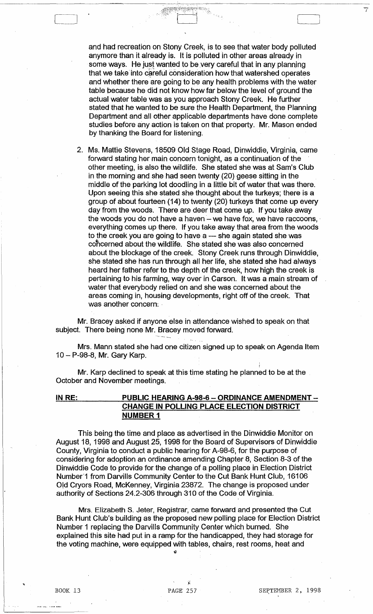and had recreation on Stony Creek, is to see that water body polluted anymore than it already is. It is polluted in other areas already in some ways. He just wanted to be very careful that in any planning that we take into careful consideration how that watershed operates and whether there are going to be any health problems with the water table because he did not know how far below the level of ground the actual water table was as you approach Stony Creek. He further stated that he wanted to be sure the Health Department, the Planning Department and all other applicable departments have done complete studies before any action is taken on that property. Mr. Mason ended by thanking the Board for listening.

-----~--~-~-----,--, - , '.'" ~,~~~--------------  $\mathbb{R}$  :  $\mathbb{R}$   $\mathbb{R}$   $\mathbb{R}$   $\mathbb{R}$   $\mathbb{R}$   $\mathbb{R}$ 

 $\overline{\phantom{a}}$ 

7

2. Ms. Mattie Stevens, 18509 Old Stage Road, Dinwiddie, Virginia, came forward stating her main concern tonight, as a continuation of the other meeting, is also the wildlife. She stated she was at Sam's Club in the morning and she had seen twenty (20) geese sitting in the middle of the parking lot doodling in a little bit of water that was there. Upon seeing this she stated she thought about the turkeys; there is a group of about fourteen (14) to twenty (20) turkeys that come up every day from the woods. There are deer that come up. If you take away the woods you do not have a haven - we have fox, we have raccoons, everything comes up there. If you take away that area from the woods to the creek you are going to have a --- she again stated she was concerned about the wildlife. She stated she was also concerned about the blockage of the creek. Stony Creek runs through Dinwiddie, she stated she has run through all her life, she stated she had always heard her father refer to the depth of the creek, how high the creek is pertaining to his farming, way over in Carson. It was a main stream of water that everybody relied on and she was concerned about the areas coming in, housing developments, right off of the creek. That was another concern: .

Mr. Bracey asked if anyone else in attendance wished to speak on that subject. There being none Mr. Bracey moved forward.

Mrs. Mann stated she had one citizen signed up to speak on Agenda Item 10 - P-98-8, Mr. Gary Karp.

Mr. Karp declined to speak at this time stating he planned to be at the October and November meetings.

**IN RE: PUBLIC HEARING A-98-6 - ORDINANCE AMENDMENT - CHANGE IN POLLING PLACE ELECTION DISTRICT NUMBER 1** 

This being the time and place as advertised in the Dinwiddie Monitor on August 18, 1998 and August 25, 1998 for the Board of Supervisors of Dinwiddie County, Virginia to conduct a public hearing for A-98-6, for the purpose of considering for adoption an ordinance amending Chapter 8, Section 8-3 of the Dinwiddie Code to provide for the change of a polling place in Election District Number'1 from Darvills Community Center to the Cut Bank Hunt Club, 16106 Old Cryors Road, McKenney, Virginia 23872. The change is proposed under authority of Sections 24.2-306 through 310 of the Code of Virginia.

Mrs. Elizabeth S. Jeter, Registrar, came forward and presented the Cut Bank Hunt Club's building as the proposed new polling place for Election District Number 1 replacing the Darvills Community Center which burned. She explained this site had put in a ramp for the handicapped, they had storage for the voting machine, were equipped with tables, chairs, rest rooms, heat and

~,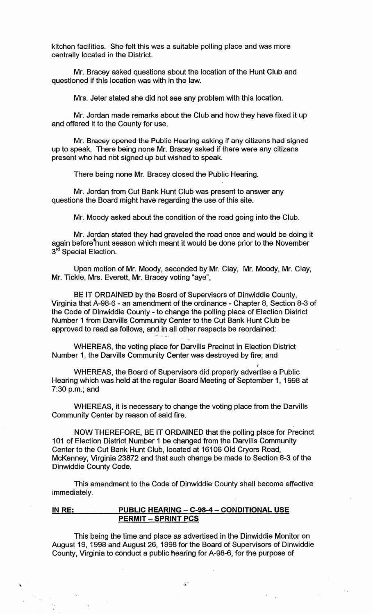kitchen facilities. She felt this was a suitable polling place and was more centrally located in the District.

Mr. Bracey asked questions about the location of the Hunt Club and questioned if this location was with in the law.

Mrs. Jeter stated she did not see any problem with this location.

Mr. Jordan made remarks about the Club and how they have fixed it up and offered it to the County for use.

Mr. Bracey opened the Public Hearing asking if any citizens had signed up to speak. There being none Mr. Bracey asked if there were any citizens present who had not signed up but wished to speak.

There being none Mr. Bracey closed the Public Hearing.

Mr. Jordan from Cut Bank Hunt Club was present to answer any questions the Board might have regarding the use of this site.

Mr. Moody asked about the condition of the road going into the Club.

Mr. Jordan stated they had graveled the road once and would be doing it again before hunt season which meant it would be done prior to the November 3<sup>rd</sup> Special Election.

Upon motion of Mr. Moody, seconded by Mr. Clay, Mr. Moody, Mr. Clay, Mr. Tickle, Mrs. Everett, Mr. Bracey voting "aye",

BE IT ORDAINED by the Board of Supervisors of Dinwiddie County, Virginia that A-98-6 - an amendment of the ordinance - Chapter 8, Section 8-3 of the Code of Dinwiddie County - to change the polling place of Election District Number 1 from Darvills Community Center to the Cut Bank Hunt Club be approved to read as follows, and in all other respects be reordained:

WHEREAS, the voting place for Darvills Precinct in Election District Number 1, the Darvills Community Center was destroyed by fire; and

WHEREAS, the Board of Supervisors did properly advertise a Public Hearing which was held at the regular Board Meeting of September 1, 1998 at 7:30 p.m.; and

r·

WHEREAS, it is necessary to change the voting place from the Darvills Community Center by reason of said fire.

NOW THEREFORE, BE IT ORDAINED that the polling place for Precinct 101 of Election District Number 1 be changed from the Darvills Community Center to the Cut Bank Hunt Club, located at 16106 Old Cryors Road, McKenney, Virginia 23872 and that such change be made to Section 8-3 of the Dinwiddie County Code.

This amendment to the Code of Dinwiddie County shall become effective immediately.

# IN RE: PUBLIC HEARING - C-98-4 - CONDITIONAL USE PERMIT - SPRINT PCS

...

This being the time and place as advertised in the Dinwiddie Monitor on August 19, 1998 and August 26, 1998 for the Board of Supervisors of Dinwiddie County, Virginia to conduct a public hearing for A-98-6, for the purpose of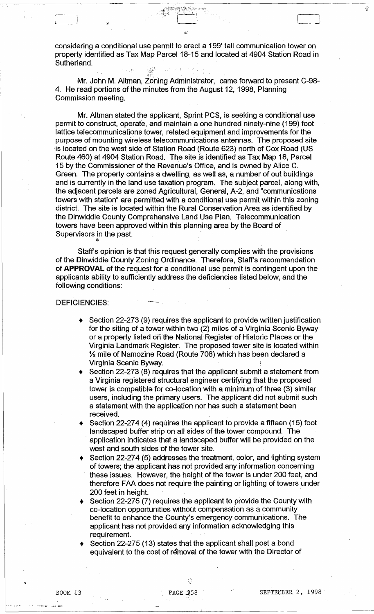considering a conditional use permit to erect a 199' tall communication tower on property identified as Tax Map Parcel 18-15 and located at 4904 Station Road in Sutherland.

, *"i,', ···.t\.* I, ,,~.",

Mr. John M. Altman, Zoning Administrator, came forward to present C-98-4. He read portions of the minutes from the August 12, 1998, Planning Commission meeting.

Mr. Altman stated the applicant, Sprint PCS, is seeking a conditional use permit to construct, operate, and maintain a one hundred ninety-nine (199) foot lattice telecommunications tower, related equipment and improvements for the purpose of mounting wireless telecommunications antennas. The proposed site is located on the west side of Station Road (Route 623) north of Cox Road (US Route 460) at 4904 Station Road. The site is identified as Tax Map 18, Parcel 15 by the Commissioner of the Revenue's Office, and is owned by Alice C. Green. The property contains a dwelling, as well as, a number of out buildings and is currently in the land use taxation program. The subject parcel, along with, the adjacent parcels are zoned Agricultural, General, A-2, and "communications towers with station" are permitted with a conditional use permit within this zoning district. The site is located within the Rural Conservation Area as identified by the Dinwiddie County Comprehensive Land Use Plan. Telecommunication towers have been approved within this planning area by the Board of Supervisors in the past.

Staff's opinion is that this request generally complies with the provisions of the Dinwiddie County Zoning Ordinance. Therefore, Staff's recommendation of **APPROVAL** of the request for a conditional use permit is contingent upon the applicants ability to sufficiently address the deficiencies listed below, and the following conditions:

# DEFICIENCIES:

~

- Section 22-273 (9) requires the applicant to provide written justification for the siting of a tower within two (2) miles of a Virginia Scenic Byway or a property listed on the National Register of Historic Places or the Virginia Landmark Register. The proposed tower site is located within % mile of Namozine Road (Route 708) which has been declared a Virginia Scenic Byway.
- Section 22-273 (8) requires that the applicant submit a statement from a Virginia registered structural engineer certifying that the proposed tower is compatible for co-location with a minimum of three (3) similar users, including the primary users. The applicant did not submit such a statement with the application nor has such a statement been received.
- Section 22-274 (4) requires the applicant to provide a fifteen (15) foot landscaped buffer strip on all sides of the tower compound. The . application indicates that a landscaped buffer will be provided on the west and south sides of the tower site.
- Section 22-274 (5) addresses the treatment, color, and lighting system of towers; the applicant has not provided any information concerning these issues. However, the height of the tower is under 200 feet, and therefore FAA does not require the painting or lighting of towers under 200 feet in height.
- Section 22-275 (7) requires the applicant to provide the County with co-location opportunities without compensation as a community benefit to enhance the County's emergency communications. The applicant has not provided any information acknowledging this requirement.
- Section 22-275 (13) states that the applicant shall post a bond equivalent to the cost of removal of the tower with the Director of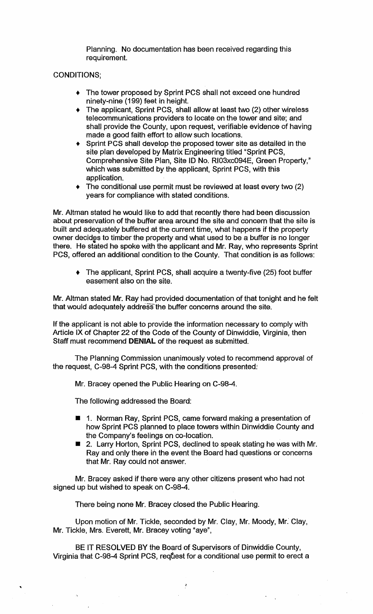Planning. No documentation has been received regarding this requirement.

# CONDITIONS;

- The tower proposed by Sprint PCS shall not exceed one hundred ninety-nine (199) feet in height.
- The applicant, Sprint PCS, shall allow at least two (2) other wireless telecommunications providers to locate on the tower and site; and shall provide the County, upon request, verifiable evidence of having made a good faith effort to allow such locations.
- Sprint PCS shall develop the proposed tower site as detailed in the site plan developed by Matrix Engineering titled "Sprint PCS, Comprehensive Site Plan, Site ID No. RI03xc094E, Green Property," which was submitted by the applicant, Sprint PCS, with this application.
- The conditional use permit must be reviewed at least every two (2) years for compliance with stated conditions.

Mr. Altman stated he would like to add that recently there had been discussion about preservation of the buffer area around the site and concern that the site is built and adequately buffered at the current time, what happens if the property owner decides to timber the property and what used to be a buffer is no longer there. He stated he spoke with the applicant and Mr. Ray, who represents Sprint PCS, offered an additional condition to the County. That condition is as follows:

• The applicant, Sprint PCS, shall acquire a twenty-five (25) foot buffer easement also on the site.

Mr. Altman stated Mr. Ray had provided documentation of that tonight and he felt that would adequately address the buffer concerns around the site.

If the applicant is not able to provide the information necessary to comply with Article IX of Chapter 22 of the Code of the County of Dinwiddie, Virginia, then Staff must recommend **DENIAL** of the request as submitted.

The Planning Commission unanimously voted to recommend approval of the request, C-98-4 Sprint PCS, with the conditions presented!

Mr. Bracey opened the Public Hearing on C-98-4.

The following addressed the Board:

...

- 1. Norman Ray, Sprint PCS, came forward making a presentation of how Sprint PCS planned to place towers within Dinwiddie County and the Company's feelings on co-location.
- 2. Larry Horton, Sprint PCS, declined to speak stating he was with Mr. Ray and only there in the event the Board had questions or concerns that Mr. Ray could not answer.

Mr. Bracey asked if there were any other citizens present who had not signed up but wished to speak on C-98-4.

There being none Mr. Bracey closed the Public Hearing.

Upon motion of Mr. Tickle, seconded by Mr. Clay, Mr. Moody, Mr.' Clay, Mr. Tickle, Mrs. Everett, Mr. Bracey voting "aye",

BE IT RESOLVED BY the Board of Supervisors of Dinwiddie County, Virginia that C-98-4 Sprint PCS, request for a conditional use permit to erect a

 $\pmb{\downarrow}$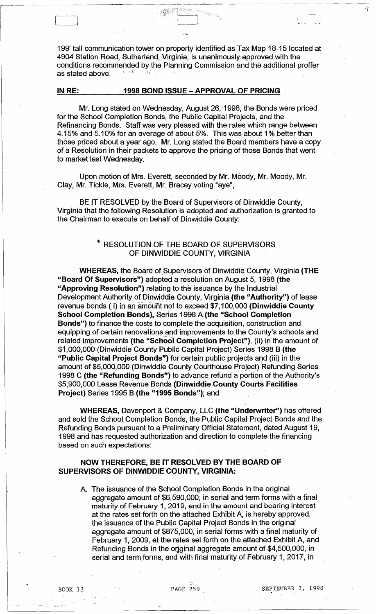199' tall communication tower on property identified as Tax Map 18-15 located at 4904 Station Road, Sutherland, Virginia, is unanimously approved with the conditions recommended by the Planning Commission and the additional proffer as stated above.

# IN RE: 1998 BOND ISSUE - APPROVAL OF PRICING

Mr. Long stated on Wednesday, August 26, 1998, the Bonds were priced for the School Completion Bonds, the Public Capital Projects, and the Refinancing Bonds. Staff was very pleased with the rates which range between 4.15% and 5.10% for an average of about 5%. This was about 1 % better than those priced about a year ago. Mr. Long stated the Board members' have a copy of a Resolution in their packets to approve the pricing of those Bonds that went to market last Wednesday.

Upon motion of Mrs. Everett, seconded by Mr. Moody, Mr. Moody, Mr. Clay, Mr. Tickle, Mrs. Everett, Mr. Bracey voting "aye",

BE IT RESOLVED by the Board of Supervisors of Dinwiddie County, Virginia that the following Resolution is adopted and authorization is granted to the Chairman to execute on behalf of Dinwiddie County:

# $^*$  RESOLUTION OF THE BOARD OF SUPERVISORS OF DINWIDDIE COUNTY, VIRGINIA

WHEREAS, the Board of Supervisors of Dinwiddie County, Virginia (THE "Board Of Supervisors") adopted a resolution on August 5, 1998 (the "Approving Resolution") relating to the issuance by the Industrial Development Authority of Dinwiddie County, Virginia (the "Authority") of lease revenue bonds (i) in an amount not to exceed \$7,100,000 (Dinwiddie County School Completion Bonds), Series 1998 A (the "School Completion Bonds") to finance the costs to complete the acquisition, construction and equipping of certain renovations and improvements to the County's schools and related improvements (the "School Completion Project"), (ii) in the amount of \$1,000,000 (Dinwiddie County Public Capital Project) Series 1998 B (the "Public Capital Project Bonds") for certain public projects and (iii) in the amount of \$5,000,000 (Dinwiddie County Courthouse Project) Refunding Series 1998 C (the "Refunding Bonds") to advance refund a portion of the Authority's \$5,900,000 Lease Revenue Bonds (Dinwiddie County Courts Facilities Project) Series 1995 B (the "1995 Bonds"); and

WHEREAS, Davenport & Company, LLC (the "Underwriter") has offered and sold the School Completion Bonds, the Public Capital Project Bonds and the Refunding Bonds pursuant to a Preliminary Official Statement, dated August 19, 1998 and has requested authorization and direction to complete the financing based on such expectations:

# NOW THEREFORE, BE IT RESOLVED BY THE BOARD OF SUPERVISORS OF DINWIDDIE COUNTY, VIRGINIA:

A. The issuance of the School Completion Bonds in the original aggregate amount of \$6,590,000; in serial and term forms with a final maturity of February 1,2019, and in the amount and bearing interest at the rates set forth on the attached Exhibit A, is hereby approved, the issuance of the Public Capital Project Bonds in the original aggregate amount of \$875,000, in serial forms with a final maturity of February 1, 2009, at the rates set forth on the attached Exhibit A, and Refunding Bonds in the original aggregate amount of \$4,500,000, in serial and term forms, and with final maturity of February 1, 2017, in

.:. -.-....... -,.-!"""'"-

9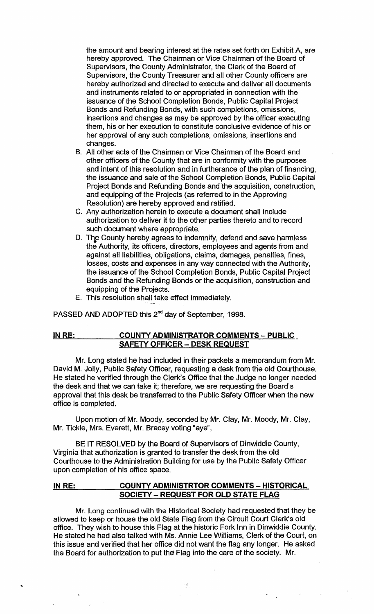the amount and bearing interest at the rates set forth on Exhibit A, are hereby approved. The Chairman or Vice Chairman of the Board of Supervisors, the County Administrator, the Clerk of the Board of Supervisors, the County Treasurer and all other County officers are hereby authorized and directed to execute and deliver all documents and instruments related to or appropriated in connection with the issuance of the School Completion Bonds, Public Capital Project Bonds and Refunding Bonds, with such completions, omissions, insertions and changes as may be approved by the officer executing them, his or her execution to constitute conclusive evidence of his or her approval of any such completions, omissions, insertions and changes.

- B. All other acts of the Chairman or Vice Chairman of the Board and other officers of the County that are in conformity with the purposes and intent of this resolution and in furtherance of the plan of financing, the issuance and sale of the School Completion Bonds, Public Capital Project Bonds and Refunding Bonds and the acquisition, construction, and equipping of the Projects (as referred to in the Approving Resolution) are hereby approved and ratified.
- C. Any authorization herein to execute a document shall include authorization to deliver it to the other parties thereto and to record such document where appropriate.
- D. The County hereby agrees to indemnify, defend and save harmless the Authority, its officers, directors, employees and agents from and against all liabilities, obligations, claims, damages, penalties, fines, losses, costs and expenses in any way connected with the Authority, the issuance of the School Completion Bonds, Public Capital Project Bonds and the Refunding Bonds or the acquisition, construction and equipping of the Projects.
- E. This resolution shall take effect immediately.

PASSED AND ADOPTED this 2<sup>nd</sup> day of September, 1998.

# IN RE: COUNTY ADMINISTRATOR COMMENTS - PUBLIC SAFETY OFFICER - DESK REQUEST

Mr. Long stated he had included in their packets a memorandum from Mr. David M. Jolly, Public Safety Officer, requesting a desk from the old Courthouse. He stated he verified through the Clerk's Office that the Judge no longer needed the desk and that we can take it; therefore, we are requesting the Board's approval that this desk be transferred to the Public Safety Officer when the new office is completed.

Upon motion of Mr. Moody, seconded by Mr. Clay, Mr. Moody, Mr. Clay, Mr. Tickle, Mrs. Everett, Mr. Bracey voting "aye",

BE IT RESOLVED by the Board of Supervisors of Dinwiddie County, Virginia that authorization is granted to transfer the desk from the old Courthouse to the Administration Building for use by the Public Safety Officer upon completion of his office space.

# IN RE: COUNTY ADMINISTRTOR COMMENTS - HISTORICAL SOCIETY - REQUEST FOR OLD STATE FLAG

Mr. Long continued with the Historical Society had requested that they be allowed to keep or house the old State Flag from the Circuit Court Clerk's old office. They wish to house this Flag at the historic Fork Inn in Dinwiddie County. He stated he had also talked with Ms. Annie Lee Williams, Clerk of the Court, on this issue and verified that her office did not want the flag any longer. He asked the Board for authorization to put the Flag into the care of the society. Mr.

545

,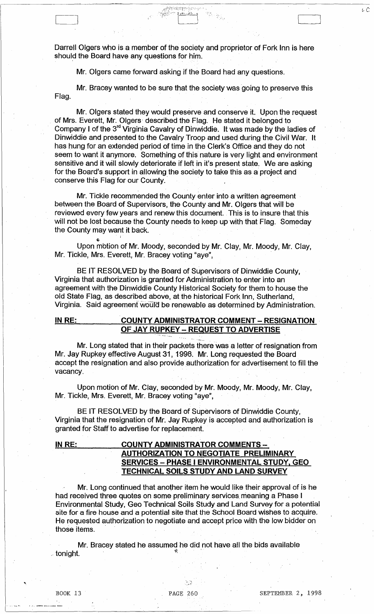Darrell Olgers who is a member of the society and proprietor of Fork Inn is here should the Board have any questions for him.

 $\iota$  C

Mr. Olgers came forward asking if the Board had any questions.

Mr. Bracey wanted to be sure that the society was going to preserve this Flag.

Mr. Olgers stated they would preserve and conserve it. Upon the request of Mrs. Everett, Mr. Olgers' described the Flag. He stated it belonged to Company I of the 3<sup>rd</sup> Virginia Cavalry of Dinwiddie. It was made by the ladies of Dinwiddie and presented to the Cavalry Troop and used during the Civil War. It has hung for an extended period of time in the Clerk's Office and they do not seem to want it anymore. Something of this nature is very light and environment sensitive and it will slowly deteriorate if left in it's present state. We are asking for the Board's support in allowing the society to take this as a project and conserve this Flag for our County.

Mr. Tickle recommended the County enter into a written agreement between the Board of Supervisors, the County and Mr. Olgers that will be reviewed every few years and renew this document. This is to insure that this will not be lost because the County needs to keep up with that Flag. Someday the County may want it back.

~ Upon mbtion of Mr. Moody, seconded by Mr. Clay, Mr. Moody, Mr. Clay, Mr. Tickle, Mrs. Everett, Mr. Bracey voting "aye",

BE IT RESOLVED by the Board of Supervisors of Dinwiddie County, Virginia that authorization is granted for Administration to enter into an agreement with the Dinwiddie County Historical Society for them to house the old State Flag, as described above, at the historical Fork Inn, Sutherland, Virginia. Said agreement would be renewable as determined by Administration.

# IN RE: COUNTY ADMINISTRATOR COMMENT - RESIGNATION OF JAY RUPKEY - REQUEST TO ADVERTISE

Mr. Long stated that in their packets there was a letter of resignation from Mr. Jay Rupkey effective August 31, 1998. Mr. Long requested the Board accept the resignation and also provide authorization for advertisement to fill the vacancy.

Upon motion of Mr. Clay, seconded by Mr. Moody, Mr. Moody, Mr. Clay, Mr. Tickle, Mrs. Everett, Mr. Bracey voting "aye",

BE IT RESOLVED by the Board of Supervisors of Dinwiddie County, Virginia that the resignation of Mr. Jay Rupkey is accepted and authorization is granted for Staff to advertise for replacement.

L~

# IN RE: COUNTY ADMINISTRATOR COMMENTS -AUTHORIZATION TO NEGOTIATE PRELIMINARY SERVICES - PHASE I ENVIRONMENTAL STUDY, GEO TECHNICAL SOILS STUDY AND LAND SURVEY

Mr. Long continued that another item he would like their approval of is he had received three quotes on some preliminary services meaning a Phase I Environmental Study, Geo Technical Soils Study and Land Survey for a potential site for a fire house and a potential site that the School Board wishes to acquire. He requested authorization to negotiate and accept price with the low bidder on those items. '

Mr. Bracey stated he assumed he did not have all the bids available  $\overline{\phantom{a}}$  tonight.

 $\mathcal{L}_\mathcal{I}$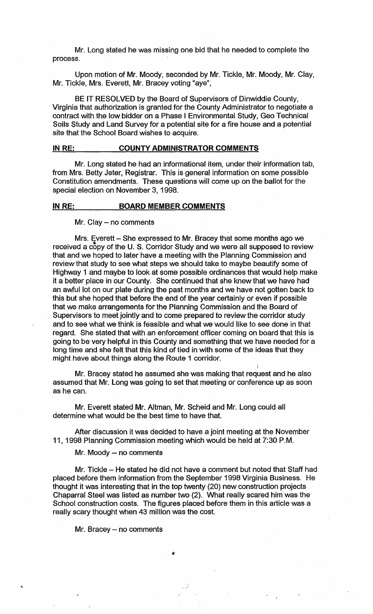Mr. Long stated he was missing one bid that he needed to complete the process.

Upon motion of Mr. Moody, seconded by Mr. Tickle, Mr. Moody, Mr. Clay, Mr. Tickle, Mrs. Everett, Mr. Bracey voting "aye",

BE IT RESOLVED by the Board of Supervisors of Dinwiddie County, Virginia that authorization is granted for the County Administrator to negotiate a contract with the low bidder on a Phase I Environmental Study, Geo Technical Soils Study and Land Survey for a potential site for a fire house and a potential site that the School Board wishes to acquire.

#### IN RE: COUNTY ADMINISTRATOR COMMENTS

Mr. Long stated he had an informational item, under their information tab, from Mrs. Betty Jeter, Registrar. This is general information on some possible Constitution amendments. These questions will come up on the ballot for the special election on November 3, 1998.

# IN RE: BOARD MEMBER COMMENTS

#### $Mr.$  Clay  $-$  no comments

Mrs. Everett - She expressed to Mr. Bracey that some months ago we received a copy of the U. S. Corridor Study and we were all supposed to review that and we hoped to later have a meeting with the Planning Commission and review that study to see what steps we should take to maybe beautify some of Highway 1 and maybe to look at some possible ordinances that would help make it a better place in our County. She continued that she knew that we have had an awful lot on our plate during the past months and we have not gotten back to this but she hoped that before the end of the year certainly or even if possible that we make arrangements for the Planning Commission and the Board of Supervisors to meet jointly and to come prepared to review the corridor study and to see what we think is feasible and what we would like to see done in that regard. She stated that with an enforcement officer coming on board that this is going to be very helpful in this County and something that we have needed for a long time and she felt that this kind of tied in with some of the ideas that they might have about things along the Route 1 corridor.

Mr. Bracey stated he assumed she was making that request and he also assumed that Mr. Long was going to set that meeting or conference up as soon as he can.

Mr. Everett stated Mr. Altman, Mr. Scheid and Mr. Long could all determine what would be the best time to have that.

After discussion it was decided to have a joint meeting at the November 11,1998 Planning Commission meeting which would be held at 7:30 P.M.

Mr. Moody -- no comments

Mr. Tickle - He stated he did not have a comment but noted that Staff had placed before them information from the September 1998 Virginia Business. He thought it was interesting that in the top twenty (20) new construction projects Chaparral Steel was listed as number two (2). What really scared him was the School construction costs. The figures placed before them in this article was a really scary thought when 43 million was the cost.

ò

 $Mr.$  Bracey  $-$  no comments

...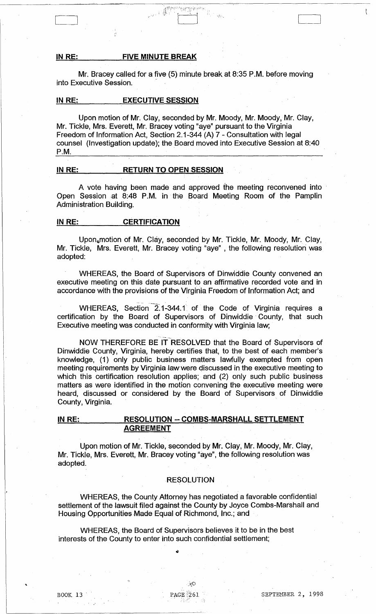#### IN RE: FIVE MINUTE BREAK

Mr. Bracey called for a five (5) minute break at 8:35 P.M. before moving into Executive Session.

 $\partial\mathcal{L}^{\mu\nu}$  , where  $\partial\mathcal{L}^{\mu\nu}$ , . .'

# IN RE: EXECUTIVE SESSION

Upon motion of Mr. Clay, seconded by Mr. Moody, Mr. Moody, Mr. Clay, Mr. Tickle, Mrs. Everett, Mr. Bracey voting "aye" pursuant to the Virginia Freedom of Information Act, Section 2.1-344 (A) 7 - Consultation with legal counsel (Investigation update); the Board moved into Executive Session at 8:40 P.M.

#### IN RE: RETURN TO OPEN SESSION

A vote having been made and approved the meeting reconvened into . Open Session at 8:48 P.M. in the Board Meeting Room of the Pamplin Administration Building.

### IN RE: CERTIFICATION

Upon<sub>s</sub> motion of Mr. Clay, seconded by Mr. Tickle, Mr. Moody, Mr. Clay, Mr. Tickle, Mrs. Everett, Mr. Bracey voting "aye" , the following resolution was adopted:

WHEREAS, the Board of Supervisors of Dinwiddie County convened an executive meeting on this date pursuant to an affirmative recorded vote and in accordance with the provisions of the Virginia Freedom of Information Act; and

WHEREAS, Section 2.1-344.1 of the Code of Virginia requires a certification by the Board of Supervisors of Dinwiddie· County, that such Executive meeting was conducted in conformity with Virginia law;

0 •••• \_ •• \_

NOW THEREFORE BE IT RESOLVED that the Board of Supervisors of Dinwiddie County, Virginia, hereby certifies that, to the best of each member's knowledge, (1) only public business matters lawfully exempted from open meeting requirements by Virginia law were discussed in the executive meeting to which this certification resolution applies; and (2) only such public business matters as were identified in the motion convening the executive meeting were heard, discussed or considered by the Board of Supervisors. of Dinwiddie County, Virginia.

# IN RE: RESOLUTION -- COMBS-MARSHALL SETTLEMENT **AGREEMENT**

Upon motion of Mr. Tickle, seconded by Mr. Clay, Mr. Moody, Mr. Clay, Mr. Tickle, Mrs. Everett, Mr. Bracey voting "aye", the following resolution was adopted.

# RESOLUTION

WHEREAS, the County Attorney has negotiated a favorable confidential settlement of the lawsuit filed against the County by Joyce Combs-Marshall and Housing Opportunities Made Equal of Richmond, Inc.; and

WHEREAS, the Board of Supervisors believes it to be in the best interests of the County to enter into such confidential settlement;

yC